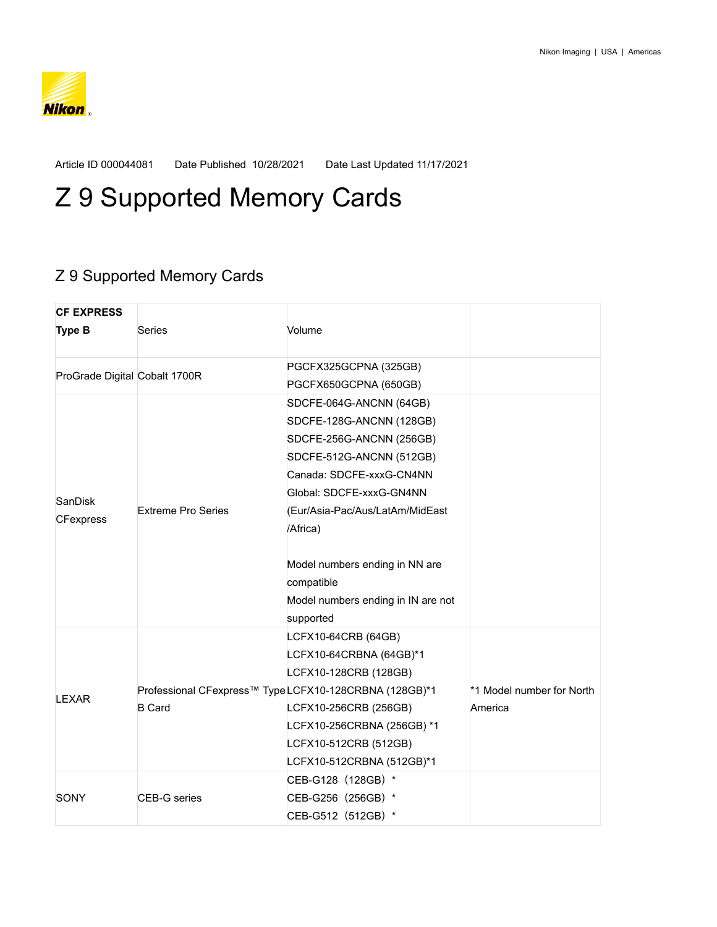

Article ID 000044081 Date Published 10/28/2021 Date Last Updated 11/17/2021

## Z 9 Supported Memory Cards

## Z 9 Supported Memory Cards

| <b>CF EXPRESS</b>             |                           |                                                       |                           |
|-------------------------------|---------------------------|-------------------------------------------------------|---------------------------|
| <b>Type B</b>                 | Series                    | Volume                                                |                           |
| ProGrade Digital Cobalt 1700R |                           | PGCFX325GCPNA (325GB)                                 |                           |
|                               |                           | PGCFX650GCPNA (650GB)                                 |                           |
| SanDisk<br><b>CFexpress</b>   |                           | SDCFE-064G-ANCNN (64GB)                               |                           |
|                               |                           | SDCFE-128G-ANCNN (128GB)                              |                           |
|                               |                           | SDCFE-256G-ANCNN (256GB)                              |                           |
|                               |                           | SDCFE-512G-ANCNN (512GB)                              |                           |
|                               |                           | Canada: SDCFE-xxxG-CN4NN                              |                           |
|                               |                           | Global: SDCFE-xxxG-GN4NN                              |                           |
|                               | <b>Extreme Pro Series</b> | (Eur/Asia-Pac/Aus/LatAm/MidEast                       |                           |
|                               |                           | /Africa)                                              |                           |
|                               |                           | Model numbers ending in NN are<br>compatible          |                           |
|                               |                           | Model numbers ending in IN are not                    |                           |
|                               |                           | supported                                             |                           |
| LEXAR                         |                           | LCFX10-64CRB (64GB)                                   |                           |
|                               |                           | LCFX10-64CRBNA (64GB)*1                               |                           |
|                               |                           | LCFX10-128CRB (128GB)                                 |                           |
|                               |                           | Professional CFexpress™ TypeLCFX10-128CRBNA (128GB)*1 | *1 Model number for North |
|                               | <b>B</b> Card             | LCFX10-256CRB (256GB)                                 | America                   |
|                               |                           | LCFX10-256CRBNA (256GB) *1                            |                           |
|                               |                           | LCFX10-512CRB (512GB)                                 |                           |
|                               |                           | LCFX10-512CRBNA (512GB)*1                             |                           |
| SONY                          |                           | CEB-G128 (128GB) *                                    |                           |
|                               | <b>CEB-G</b> series       | CEB-G256 (256GB) *                                    |                           |
|                               |                           | CEB-G512 (512GB) *                                    |                           |